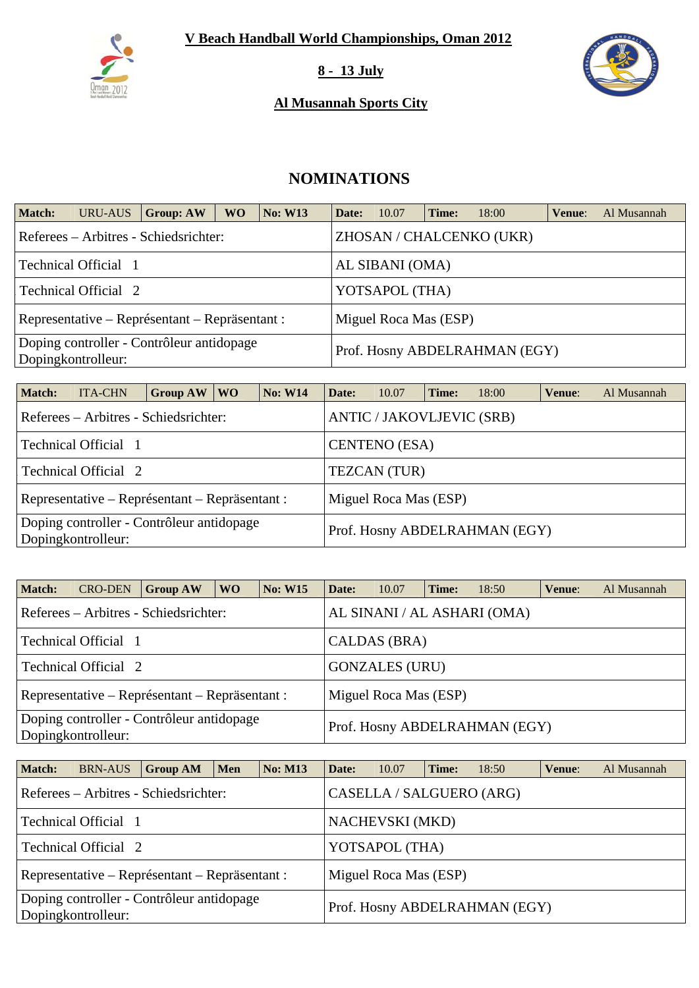

#### **8 - 13 July**

### **Al Musannah Sports City**



# **NOMINATIONS**

| Match: | <b>URU-AUS</b>                                                    | <b>Group: AW</b>                                                        | <b>WO</b> | <b>No: W13</b> | Date: | 10.07           | Time: | 18:00                         | Venue: | Al Musannah |  |  |  |  |
|--------|-------------------------------------------------------------------|-------------------------------------------------------------------------|-----------|----------------|-------|-----------------|-------|-------------------------------|--------|-------------|--|--|--|--|
|        | ZHOSAN / CHALCENKO (UKR)<br>Referees – Arbitres - Schiedsrichter: |                                                                         |           |                |       |                 |       |                               |        |             |  |  |  |  |
|        | Technical Official 1                                              |                                                                         |           |                |       | AL SIBANI (OMA) |       |                               |        |             |  |  |  |  |
|        | Technical Official 2                                              |                                                                         |           |                |       | YOTSAPOL (THA)  |       |                               |        |             |  |  |  |  |
|        |                                                                   | Miguel Roca Mas (ESP)<br>Representative – Représentant – Repräsentant : |           |                |       |                 |       |                               |        |             |  |  |  |  |
|        | Dopingkontrolleur:                                                | Doping controller - Contrôleur antidopage                               |           |                |       |                 |       | Prof. Hosny ABDELRAHMAN (EGY) |        |             |  |  |  |  |

| <b>Match:</b> | <b>ITA-CHN</b>                                                  | <b>Group AW</b>                                                         | <b>WO</b>                        | <b>No: W14</b> | Date:               | 10.07                | Time: | 18:00                         | Venue: | Al Musannah |  |  |
|---------------|-----------------------------------------------------------------|-------------------------------------------------------------------------|----------------------------------|----------------|---------------------|----------------------|-------|-------------------------------|--------|-------------|--|--|
|               | Referees – Arbitres - Schiedsrichter:                           |                                                                         | <b>ANTIC / JAKOVLJEVIC (SRB)</b> |                |                     |                      |       |                               |        |             |  |  |
|               | Technical Official 1                                            |                                                                         |                                  |                |                     | <b>CENTENO</b> (ESA) |       |                               |        |             |  |  |
|               | Technical Official 2                                            |                                                                         |                                  |                | <b>TEZCAN</b> (TUR) |                      |       |                               |        |             |  |  |
|               |                                                                 | Miguel Roca Mas (ESP)<br>Representative – Représentant – Repräsentant : |                                  |                |                     |                      |       |                               |        |             |  |  |
|               | Doping controller - Contrôleur antidopage<br>Dopingkontrolleur: |                                                                         |                                  |                |                     |                      |       | Prof. Hosny ABDELRAHMAN (EGY) |        |             |  |  |

| <b>Match:</b>                                                                                    | <b>CRO-DEN</b>                                 | <b>Group AW</b> | WO. | <b>No: W15</b> | Date: | 10.07                 | Time: | 18:50                       | Venue: | Al Musannah |
|--------------------------------------------------------------------------------------------------|------------------------------------------------|-----------------|-----|----------------|-------|-----------------------|-------|-----------------------------|--------|-------------|
|                                                                                                  | Referees – Arbitres - Schiedsrichter:          |                 |     |                |       |                       |       | AL SINANI / AL ASHARI (OMA) |        |             |
|                                                                                                  | Technical Official 1                           |                 |     |                |       | CALDAS (BRA)          |       |                             |        |             |
|                                                                                                  | Technical Official 2                           |                 |     |                |       | <b>GONZALES (URU)</b> |       |                             |        |             |
|                                                                                                  | Representative – Représentant – Repräsentant : |                 |     |                |       | Miguel Roca Mas (ESP) |       |                             |        |             |
| Doping controller - Contrôleur antidopage<br>Prof. Hosny ABDELRAHMAN (EGY)<br>Dopingkontrolleur: |                                                |                 |     |                |       |                       |       |                             |        |             |

| <b>Match:</b>                                                           | <b>BRN-AUS</b>              | <b>Group AM</b>                                                   | <b>Men</b>     | $\vert$ No: M13 | Date: | 10.07                  | Time: | 18:50                         | Venue: | Al Musannah |  |
|-------------------------------------------------------------------------|-----------------------------|-------------------------------------------------------------------|----------------|-----------------|-------|------------------------|-------|-------------------------------|--------|-------------|--|
|                                                                         |                             | CASELLA / SALGUERO (ARG)<br>Referees – Arbitres - Schiedsrichter: |                |                 |       |                        |       |                               |        |             |  |
|                                                                         | <b>Technical Official 1</b> |                                                                   |                |                 |       | <b>NACHEVSKI</b> (MKD) |       |                               |        |             |  |
|                                                                         | Technical Official 2        |                                                                   | YOTSAPOL (THA) |                 |       |                        |       |                               |        |             |  |
| Miguel Roca Mas (ESP)<br>Representative – Représentant – Repräsentant : |                             |                                                                   |                |                 |       |                        |       |                               |        |             |  |
|                                                                         | Dopingkontrolleur:          | Doping controller - Contrôleur antidopage                         |                |                 |       |                        |       | Prof. Hosny ABDELRAHMAN (EGY) |        |             |  |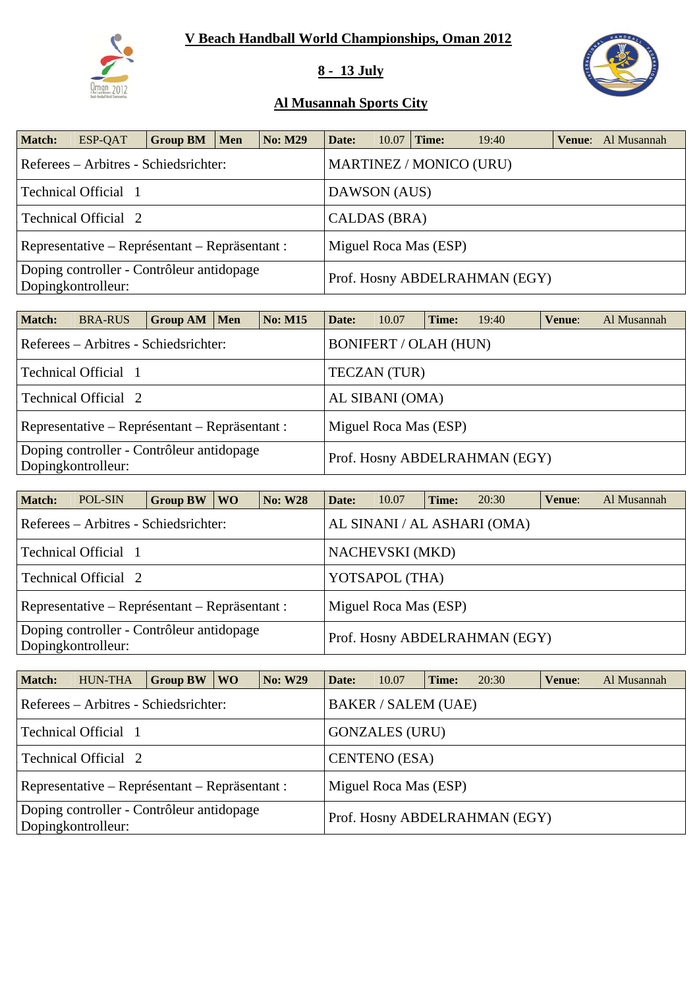# **V Beach Handball World Championships, Oman 2012**



## **8 - 13 July**



### **Al Musannah Sports City**

| <b>Match:</b> | ESP-QAT                                                         | <b>Group BM</b> | <b>Men</b> | <b>No: M29</b> | Date:                         | 10.07 | Time:                 | 19:40                          |  | <b>Venue:</b> Al Musannah |  |  |
|---------------|-----------------------------------------------------------------|-----------------|------------|----------------|-------------------------------|-------|-----------------------|--------------------------------|--|---------------------------|--|--|
|               | Referees – Arbitres - Schiedsrichter:                           |                 |            |                |                               |       |                       | <b>MARTINEZ / MONICO (URU)</b> |  |                           |  |  |
|               | Technical Official 1                                            |                 |            |                | DAWSON (AUS)                  |       |                       |                                |  |                           |  |  |
|               | Technical Official 2                                            |                 |            |                | CALDAS (BRA)                  |       |                       |                                |  |                           |  |  |
|               | Representative – Représentant – Repräsentant :                  |                 |            |                |                               |       | Miguel Roca Mas (ESP) |                                |  |                           |  |  |
|               | Doping controller - Contrôleur antidopage<br>Dopingkontrolleur: |                 |            |                | Prof. Hosny ABDELRAHMAN (EGY) |       |                       |                                |  |                           |  |  |

| <b>Match:</b>                                                   | <b>BRA-RUS</b>                                 | Group AM | Men | <b>No: M15</b> | Date:                         | 10.07                        | Time: | 19:40 | Venue: | Al Musannah |  |  |
|-----------------------------------------------------------------|------------------------------------------------|----------|-----|----------------|-------------------------------|------------------------------|-------|-------|--------|-------------|--|--|
|                                                                 | Referees – Arbitres - Schiedsrichter:          |          |     |                |                               | <b>BONIFERT / OLAH (HUN)</b> |       |       |        |             |  |  |
|                                                                 | Technical Official 1                           |          |     |                |                               | <b>TECZAN</b> (TUR)          |       |       |        |             |  |  |
|                                                                 | Technical Official 2                           |          |     |                |                               | AL SIBANI (OMA)              |       |       |        |             |  |  |
|                                                                 | Representative – Représentant – Repräsentant : |          |     |                |                               | Miguel Roca Mas (ESP)        |       |       |        |             |  |  |
| Doping controller - Contrôleur antidopage<br>Dopingkontrolleur: |                                                |          |     |                | Prof. Hosny ABDELRAHMAN (EGY) |                              |       |       |        |             |  |  |

| <b>Match:</b> | POL-SIN                                                         | <b>Group BW</b>                                                      | WO \ | <b>No: W28</b>        | Date: | 10.07                  | Time: | 20:30                         | Venue: | Al Musannah |  |  |  |  |
|---------------|-----------------------------------------------------------------|----------------------------------------------------------------------|------|-----------------------|-------|------------------------|-------|-------------------------------|--------|-------------|--|--|--|--|
|               |                                                                 | AL SINANI / AL ASHARI (OMA)<br>Referees – Arbitres - Schiedsrichter: |      |                       |       |                        |       |                               |        |             |  |  |  |  |
|               | Technical Official 1                                            |                                                                      |      |                       |       | <b>NACHEVSKI</b> (MKD) |       |                               |        |             |  |  |  |  |
|               | Technical Official 2                                            |                                                                      |      |                       |       | YOTSAPOL (THA)         |       |                               |        |             |  |  |  |  |
|               | Representative – Représentant – Repräsentant :                  |                                                                      |      | Miguel Roca Mas (ESP) |       |                        |       |                               |        |             |  |  |  |  |
|               | Doping controller - Contrôleur antidopage<br>Dopingkontrolleur: |                                                                      |      |                       |       |                        |       | Prof. Hosny ABDELRAHMAN (EGY) |        |             |  |  |  |  |

| <b>Match:</b> | <b>HUN-THA</b>                                                  | <b>Group BW</b> | WO \ | <b>No: W29</b> | Date: | 10.07                      | Time: | 20:30                         | Venue: | Al Musannah |
|---------------|-----------------------------------------------------------------|-----------------|------|----------------|-------|----------------------------|-------|-------------------------------|--------|-------------|
|               | Referees – Arbitres - Schiedsrichter:                           |                 |      |                |       | <b>BAKER / SALEM (UAE)</b> |       |                               |        |             |
|               | Technical Official 1                                            |                 |      |                |       | <b>GONZALES (URU)</b>      |       |                               |        |             |
|               | Technical Official 2                                            |                 |      |                |       | <b>CENTENO</b> (ESA)       |       |                               |        |             |
|               | Representative – Représentant – Repräsentant :                  |                 |      |                |       | Miguel Roca Mas (ESP)      |       |                               |        |             |
|               | Doping controller - Contrôleur antidopage<br>Dopingkontrolleur: |                 |      |                |       |                            |       | Prof. Hosny ABDELRAHMAN (EGY) |        |             |